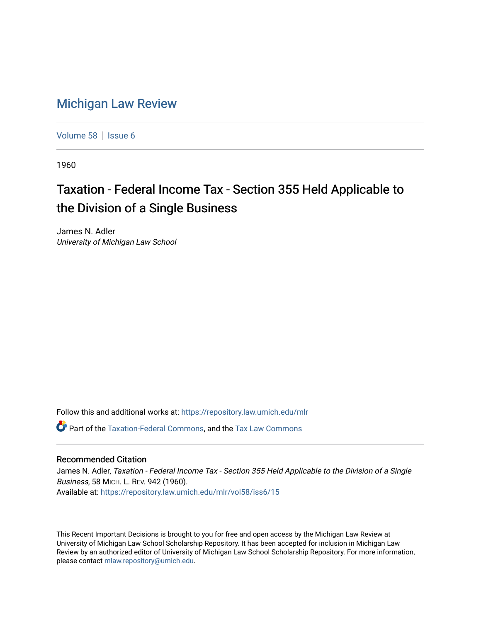## [Michigan Law Review](https://repository.law.umich.edu/mlr)

[Volume 58](https://repository.law.umich.edu/mlr/vol58) | [Issue 6](https://repository.law.umich.edu/mlr/vol58/iss6)

1960

## Taxation - Federal Income Tax - Section 355 Held Applicable to the Division of a Single Business

James N. Adler University of Michigan Law School

Follow this and additional works at: [https://repository.law.umich.edu/mlr](https://repository.law.umich.edu/mlr?utm_source=repository.law.umich.edu%2Fmlr%2Fvol58%2Fiss6%2F15&utm_medium=PDF&utm_campaign=PDFCoverPages) 

Part of the [Taxation-Federal Commons](http://network.bepress.com/hgg/discipline/881?utm_source=repository.law.umich.edu%2Fmlr%2Fvol58%2Fiss6%2F15&utm_medium=PDF&utm_campaign=PDFCoverPages), and the [Tax Law Commons](http://network.bepress.com/hgg/discipline/898?utm_source=repository.law.umich.edu%2Fmlr%2Fvol58%2Fiss6%2F15&utm_medium=PDF&utm_campaign=PDFCoverPages) 

## Recommended Citation

James N. Adler, Taxation - Federal Income Tax - Section 355 Held Applicable to the Division of a Single Business, 58 MICH. L. REV. 942 (1960). Available at: [https://repository.law.umich.edu/mlr/vol58/iss6/15](https://repository.law.umich.edu/mlr/vol58/iss6/15?utm_source=repository.law.umich.edu%2Fmlr%2Fvol58%2Fiss6%2F15&utm_medium=PDF&utm_campaign=PDFCoverPages) 

This Recent Important Decisions is brought to you for free and open access by the Michigan Law Review at University of Michigan Law School Scholarship Repository. It has been accepted for inclusion in Michigan Law Review by an authorized editor of University of Michigan Law School Scholarship Repository. For more information, please contact [mlaw.repository@umich.edu.](mailto:mlaw.repository@umich.edu)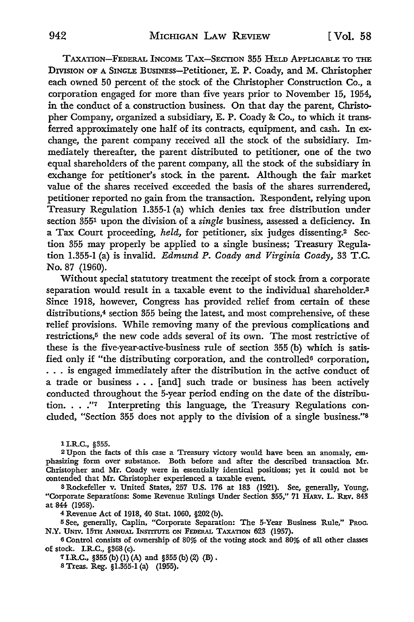TAXATION-FEDERAL INCOME TAX-SECTION 355 HELD APPLICABLE TO THE DIVISION OF A SINGLE BUSINESS-Petitioner, E. P. Coady, and M. Christopher each owned 50 percent of the stock of the Christopher Construction Co., a corporation engaged for more than five years prior to November 15, 1954, in the conduct of a construction business. **On** that day the parent, Christopher Company, organized a subsidiary, E. **P.** Coady & Co., to which it transferred approximately one half of its contracts, equipment, and cash. In exchange, the parent company received all the stock of the subsidiary. Immediately thereafter, the parent distributed to petitioner, one of the two equal shareholders of the parent company, all the stock of the subsidiary **in**  exchange for petitioner's stock in the parent. Although the fair market value of the shares received exceeded the basis of the shares surrendered, petitioner reported no gain from the transaction. Respondent, relying upon Treasury Regulation 1.355-1 (a) which denies tax free distribution under section 355<sup>1</sup> upon the division of a *single* business, assessed a deficiency. In a Tax Court proceeding, held, for petitioner, six judges dissenting.<sup>2</sup> Section 355 may properly be applied to a single business; Treasury Regulation 1.355-1 (a) is invalid. Edmund P. Coady and Virginia Coady, 33 T.C. No. 87 (1960).

Without special statutory treatment the receipt of stock from a corporate separation would result in a taxable event to the individual shareholder.<sup>3</sup> Since 1918, however, Congress has provided relief from certain of these distributions,<sup>4</sup> section 355 being the latest, and most comprehensive, of these relief provisions. While removing many of the previous complications and restrictions,<sup>5</sup> the new code adds several of its own. The most restrictive of these is the five-year-active-business rule of section 355 (b) which is satisfied only if "the distributing corporation, and the controlled<sup>6</sup> corporation, . . . is engaged immediately after the distribution in the active conduct of a trade or business ... [and] such trade or business has been actively conducted throughout the 5-year period ending on the date of the distribution. . . ."7 Interpreting this language, the Treasury Regulations concluded, "Section 355 does not apply to the division of a single business."<sup>8</sup>

1 I.R.C., §355.

<sup>2</sup>Upon the facts of this case a Treasury victory would have been an anomaly, em• phasizing form over substance. Both before and after the described transaction Mr. Christopher and **Mr.** Coady were in essentially identical positions; yet it could not be oontended that Mr. Christopher experienced a taxable event.

s Rockefeller v. United States, 257 U.S. 176 at 183 (1921). See, generally, Young, "Corporate Separations: Some Revenue Rulings Under Section 355," 71 HARv. L. REv. 843 at 844 (1958).

4 Revenue Act of 1918, 40 Stat. 1060, §202 (b).

<sup>5</sup>See, generally, Caplin, "Corporate Separation: The 5-Year Business Rule,'' PRoc. N.Y. UNIV. 15TH ANNUAL INSTITUTE ON FEDERAL TAXATION 623 (1957).

<sup>6</sup>Control consists of ownership of 80% of the voting stock and 80% of all other classes of stock. I.R.C., §368 (c).

7 I.R.C.,  $$355(b)(1)(A)$  and  $$355(b)(2)(B)$ . s Treas. Reg. §1.355-1 (a) (1955).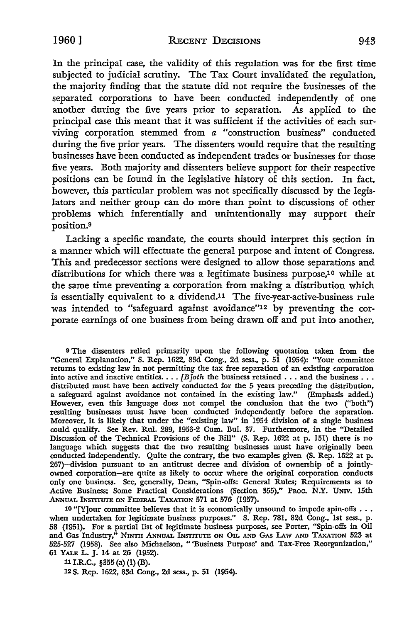In the principal case, the validity of this regulation was for the first time subjected to judicial scrutiny. The Tax Court invalidated the regulation, the majority finding that the statute did not require the businesses of the separated corporations to have been conducted independently of one another during the five years prior to separation. As applied to the principal case this meant that it was sufficient if the activities of each surviving corporation stemmed from *a* "construction business" conducted during the five prior years. The dissenters would require that the resulting businesses have been conducted as independent trades or businesses for those five years. Both majority and dissenters believe support for their respective positions can be found in the legislative history of this section. In fact, however, this particular problem was not specifically discussed by the legislators and neither group can do more than point to discussions of other problems which inferentially and unintentionally may support their position.<sup>9</sup>

Lacking a specific mandate, the courts should interpret this section in a manner which will effectuate the general purpose and intent of Congress. This and predecessor sections were designed to allow those separations and distributions for which there was a legitimate business purpose,10 while at the same time preventing a corporation from making a distribution which is essentially equivalent to a dividend.11 The five-year-active-business rule was intended to "safeguard against avoidance"12 by preventing the corporate earnings of one business from being drawn off and put into another,

<sup>9</sup>The dissenters relied primarily upon the following quotation taken from the "General Explanation," S. Rep. 1622, 83d Cong., 2d sess., p. 51 (1954): "Your committee returns to existing law in not permitting the tax free separation of an existing corporation returns to existing faw in not permitting the tax free separation or an existing corporation<br>into active and inactive entities. . . . *[B]oth* the business retained . . . and the business . . .<br>distributed must have been a a safeguard against avoidance not contained in the existing law." (Emphasis added.) However, even this language does not compel the conclusion that the two ("both'') resulting businesses must have been conducted independently before the separation. Moreover, it is likely that under the "existing law" in 1954 division of a single business could qualify. See Rev. Rul. 289, 1953-2 Cum. Bul. 37. Furthermore, in the "Detailed Discussion of the Technical Provisions of the Bill" (S. Rep. 1622 at p. 151) there is no language which suggests that the two resulting businesses must have originally been conducted independently. Quite the contrary, the two examples given (S. Rep. 1622 at p. 267)-division pursuant to an antitrust decree and division of ownership of a jointlyowned corporation-are quite as likely to occur where the original corporation conducts only one business. See, generally, Dean, "Spin-offs: General Rules; Requirements as to Active Business; Some Practical Considerations (Section 355)," PROC. N.Y. UNIV. 15th ANNUAL INSTITUTE ON FEDERAL TAXATION 571 at 576 (1957).

10 "[Y]our committee believes that it is economically unsound to impede spin-offs  $\dots$ when undertaken for legitimate business purposes." S. Rep. 781, 82d Cong., 1st sess., p. 58 (1951). For a partial list of legitimate business purposes, see Porter, "Spin-offs in Oil and Gas Industry," NINTII ANNUAL INSTITUTE ON OIL AND GAS LAW AND TAXATION 523 at 525-527 (1958). See also Michaelson, " 'Business Purpose' and Tax-Free Reorganization," 61 YALE L. J. H at 26 (1952).

11 I.R.C., §355 (a) (1) (B).

12 S. Rep. 1622, 83d Cong., 2d sess., p. 51 (1954).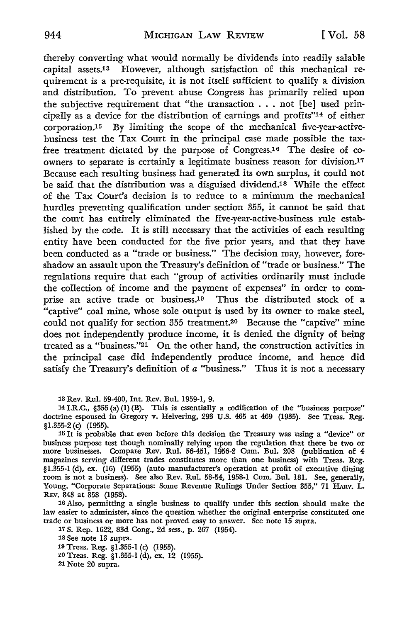thereby converting what would normally be dividends into readily salable capital assets.13 However, although satisfaction of this mechanical requirement is a pre-requisite, it is not itself sufficient to qualify a division and distribution. To prevent abuse Congress has primarily relied upon the subjective requirement that "the transaction ... not [be] used principally as a device for the distribution of earnings and profits"14 of either corporation.15 By limiting the scope of the mechanical five-year-activebusiness test the Tax Court in the principal case made possible the taxfree treatment dictated by the purpose of Congress.16 The desire of coowners to separate is certainly a legitimate business reason for division.17 Because each resulting business had generated its own surplus, it could not be said that the distribution was a disguised dividend.<sup>18</sup> While the effect of the Tax Court's decision is to reduce to a minimum the mechanical hurdles preventing qualification under section 355, it cannot be said that the court has entirely eliminated the five-year-active-business rule established by the code. It is still necessary that the activities of each resulting entity have been conducted for the five prior years, and that they have been conducted as a "trade or business." The decision may, however, foreshadow an assault upon the Treasury's definition of "trade or business." The regulations require that each "group of activities ordinarily must include the collection of income and the payment of expenses" in order to comprise an active trade or business.19 Thus the distributed stock of a "captive" coal mine, whose sole output is used by its owner to make steel, could not qualify for section 355 treatment.20 Because the "captive" mine does not independently produce income, it is denied the dignity of being treated as a "business."21 On the other hand, the construction activities in the principal case did independently produce income, and hence did satisfy the Treasury's definition of *a* "business." Thus it is not a necessary

13 Rev. Rul. 59-400, Int. Rev. Bul. 1959-1, 9.

14 I.R.C., §355 (a) (1) (B). This is essentially a codification of the "business purpose" doctrine espoused in Gregory v. Helvering, 293 U.S. 465 at 469 (1935). See Treas. Reg. §1.355-2 (c) (1955).

15 It is probable that even before this decision the Treasury was using a "device" or business purpose test though nominally relying upon the regulation that there be two or more businesses. Compare Rev. Rul. 56-451, 1956-2 Cum. Bul. 208 (publication of 4 magazines serving different trades constitutes more than one business) with Treas. Reg. §1.355-1 (d), ex. (16) (1955) (auto manufacturer's operation at profit of executive dining room is not a business). See also Rev. Rul. 58-54, 1958-1 Cum. Bul. 181. See, generally, Young, "Corporate Separations: Some Revenue Rulings Under Section 355," 71 HARv. L. REv. 843 at 858 (1958).

16 Also, permitting a single business to qualify under this section should make the law easier to administer, since the question whether the original enterprise constituted one trade or business or more has not proved easy to answer. See note 15 supra.

17 S. Rep. 1622, 83d Cong., 2d sess., p. 267 (1954).

18 See note 13 supra.

19 Treas. Reg. §1.355-1 (c) (1955).

20 Treas. Reg. §1.355-1 (d), ex. 12 (1955).

21 Note 20 supra.